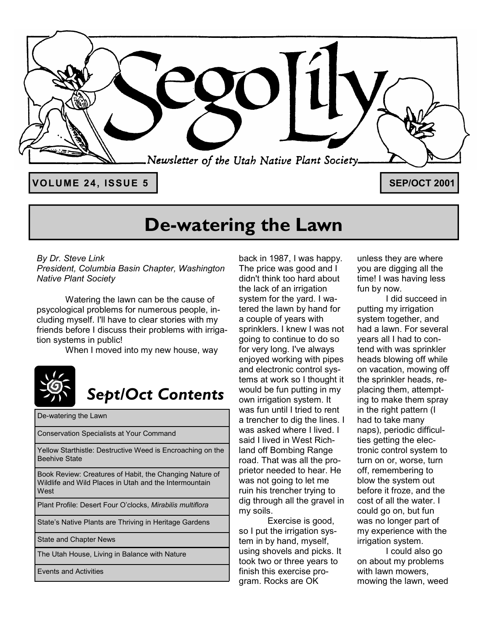

# **De-watering the Lawn**

*By Dr. Steve Link President, Columbia Basin Chapter, Washington Native Plant Society* 

Watering the lawn can be the cause of psycological problems for numerous people, including myself. I'll have to clear stories with my friends before I discuss their problems with irrigation systems in public!

When I moved into my new house, way



# *Sept/Oct Contents*

De-watering the Lawn

Conservation Specialists at Your Command

Yellow Starthistle: Destructive Weed is Encroaching on the Beehive State

Book Review: Creatures of Habit, the Changing Nature of Wildlife and Wild Places in Utah and the Intermountain **West** 

Plant Profile: Desert Four Oíclocks, *Mirabilis multiflora*

State's Native Plants are Thriving in Heritage Gardens

State and Chapter News

The Utah House, Living in Balance with Nature

Events and Activities

back in 1987, I was happy. The price was good and I didn't think too hard about the lack of an irrigation system for the yard. I watered the lawn by hand for a couple of years with sprinklers. I knew I was not going to continue to do so for very long. I've always enjoyed working with pipes and electronic control systems at work so I thought it would be fun putting in my own irrigation system. It was fun until I tried to rent a trencher to dig the lines. I was asked where I lived. I said I lived in West Richland off Bombing Range road. That was all the proprietor needed to hear. He was not going to let me ruin his trencher trying to dig through all the gravel in my soils.

 Exercise is good, so I put the irrigation system in by hand, myself, using shovels and picks. It took two or three years to finish this exercise program. Rocks are OK

unless they are where you are digging all the time! I was having less fun by now.

 I did succeed in putting my irrigation system together, and had a lawn. For several years all I had to contend with was sprinkler heads blowing off while on vacation, mowing off the sprinkler heads, replacing them, attempting to make them spray in the right pattern (I had to take many naps), periodic difficulties getting the electronic control system to turn on or, worse, turn off, remembering to blow the system out before it froze, and the cost of all the water. I could go on, but fun was no longer part of my experience with the irrigation system.

 I could also go on about my problems with lawn mowers, mowing the lawn, weed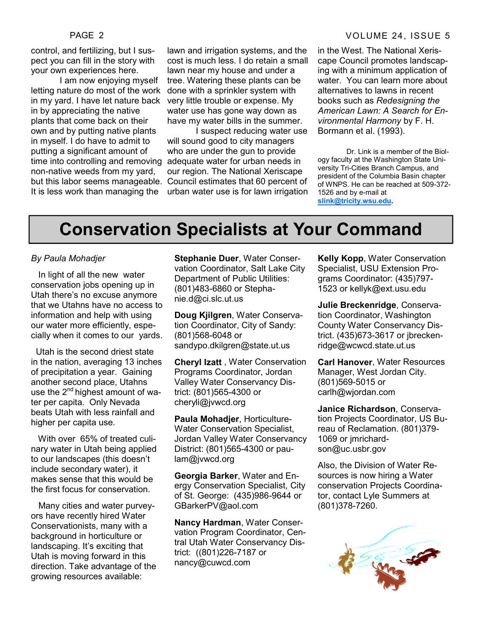control, and fertilizing, but I suspect you can fill in the story with your own experiences here.

 I am now enjoying myself letting nature do most of the work in my yard. I have let nature back in by appreciating the native plants that come back on their own and by putting native plants in myself. I do have to admit to putting a significant amount of time into controlling and removing non-native weeds from my yard, It is less work than managing the

lawn and irrigation systems, and the cost is much less. I do retain a small lawn near my house and under a tree. Watering these plants can be done with a sprinkler system with very little trouble or expense. My water use has gone way down as have my water bills in the summer.

but this labor seems manageable. Council estimates that 60 percent of I suspect reducing water use will sound good to city managers who are under the gun to provide adequate water for urban needs in our region. The National Xeriscape urban water use is for lawn irrigation

#### PAGE 2 VOLUME 24, ISSUE 5

in the West. The National Xeriscape Council promotes landscaping with a minimum application of water. You can learn more about alternatives to lawns in recent books such as *Redesigning the American Lawn: A Search for Environmental Harmony* by F. H. Bormann et al. (1993).

 Dr. Link is a member of the Biology faculty at the Washington State University Tri-Cities Branch Campus, and president of the Columbia Basin chapter of WNPS. He can be reached at 509-372- 1526 and by e-mail at **slink@tricity.wsu.edu.**

### **Conservation Specialists at Your Command**

#### *By Paula Mohadjer*

 In light of all the new water conservation jobs opening up in Utah there's no excuse anymore that we Utahns have no access to information and help with using our water more efficiently, especially when it comes to our yards.

 Utah is the second driest state in the nation, averaging 13 inches of precipitation a year. Gaining another second place, Utahns use the  $2^{nd}$  highest amount of water per capita. Only Nevada beats Utah with less rainfall and higher per capita use.

 With over 65% of treated culinary water in Utah being applied to our landscapes (this doesn't include secondary water), it makes sense that this would be the first focus for conservation.

 Many cities and water purveyors have recently hired Water Conservationists, many with a background in horticulture or landscaping. It's exciting that Utah is moving forward in this direction. Take advantage of the growing resources available:

**Stephanie Duer**, Water Conservation Coordinator, Salt Lake City Department of Public Utilities: (801)483-6860 or Stephanie.d@ci.slc.ut.us

**Doug Kjilgren**, Water Conservation Coordinator, City of Sandy: (801)568-6048 or sandypo.dkilgren@state.ut.us

**Cheryl Izatt** , Water Conservation Programs Coordinator, Jordan Valley Water Conservancy District: (801)565-4300 or cheryli@jvwcd.org

**Paula Mohadjer**, Horticulture-Water Conservation Specialist, Jordan Valley Water Conservancy District: (801)565-4300 or paulam@jvwcd.org

**Georgia Barker**, Water and Energy Conservation Specialist, City of St. George: (435)986-9644 or GBarkerPV@aol.com

**Nancy Hardman**, Water Conservation Program Coordinator, Central Utah Water Conservancy District: ((801)226-7187 or nancy@cuwcd.com

**Kelly Kopp**, Water Conservation Specialist, USU Extension Programs Coordinator: (435)797- 1523 or kellyk@ext.usu.edu

**Julie Breckenridge**, Conservation Coordinator, Washington County Water Conservancy District. (435)673-3617 or jbreckenridge@wcwcd.state.ut.us

**Carl Hanover**, Water Resources Manager, West Jordan City. (801)569-5015 or carlh@wjordan.com

**Janice Richardson**, Conservation Projects Coordinator, US Bureau of Reclamation. (801)379- 1069 or jmrichardson@uc.usbr.gov

Also, the Division of Water Resources is now hiring a Water conservation Projects Coordinator, contact Lyle Summers at (801)378-7260.

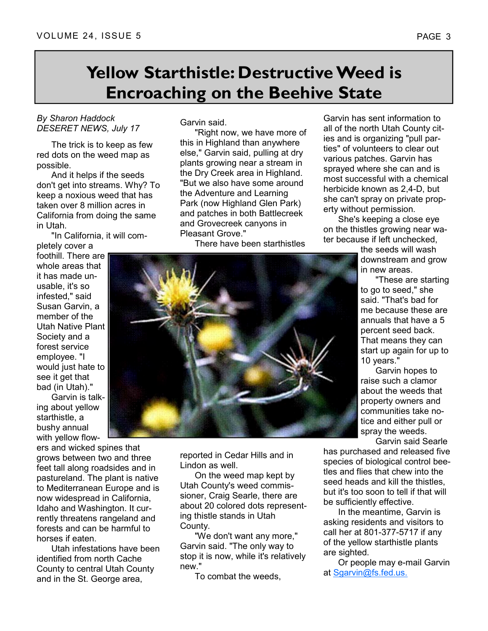## **Yellow Starthistle: Destructive Weed is Encroaching on the Beehive State**

#### *By Sharon Haddock DESERET NEWS, July 17*

 The trick is to keep as few red dots on the weed map as possible.

 And it helps if the seeds don't get into streams. Why? To keep a noxious weed that has taken over 8 million acres in California from doing the same in Utah.

"In California, it will com-

pletely cover a foothill. There are whole areas that it has made unusable, it's so infested," said Susan Garvin, a member of the Utah Native Plant Society and a forest service employee. "I would just hate to see it get that bad (in Utah)."

 Garvin is talking about yellow starthistle, a bushy annual with yellow flow-

ers and wicked spines that grows between two and three feet tall along roadsides and in pastureland. The plant is native to Mediterranean Europe and is now widespread in California, Idaho and Washington. It currently threatens rangeland and forests and can be harmful to horses if eaten.

 Utah infestations have been identified from north Cache County to central Utah County and in the St. George area,

Garvin said.

 "Right now, we have more of this in Highland than anywhere else," Garvin said, pulling at dry plants growing near a stream in the Dry Creek area in Highland. "But we also have some around the Adventure and Learning Park (now Highland Glen Park) and patches in both Battlecreek and Grovecreek canyons in Pleasant Grove."

There have been starthistles

reported in Cedar Hills and in Lindon as well.

 On the weed map kept by Utah County's weed commissioner, Craig Searle, there are about 20 colored dots representing thistle stands in Utah County.

 "We don't want any more," Garvin said. "The only way to stop it is now, while it's relatively new."

To combat the weeds,

Garvin has sent information to all of the north Utah County cities and is organizing "pull parties" of volunteers to clear out various patches. Garvin has sprayed where she can and is most successful with a chemical herbicide known as 2,4-D, but she can't spray on private property without permission.

 She's keeping a close eye on the thistles growing near water because if left unchecked,

> the seeds will wash downstream and grow in new areas.

 "These are starting to go to seed," she said. "That's bad for me because these are annuals that have a 5 percent seed back. That means they can start up again for up to 10 years."

 Garvin hopes to raise such a clamor about the weeds that property owners and communities take notice and either pull or spray the weeds.

Garvin said Searle

has purchased and released five species of biological control beetles and flies that chew into the seed heads and kill the thistles, but it's too soon to tell if that will be sufficiently effective.

 In the meantime, Garvin is asking residents and visitors to call her at 801-377-5717 if any of the yellow starthistle plants are sighted.

 Or people may e-mail Garvin at Sgarvin@fs.fed.us.

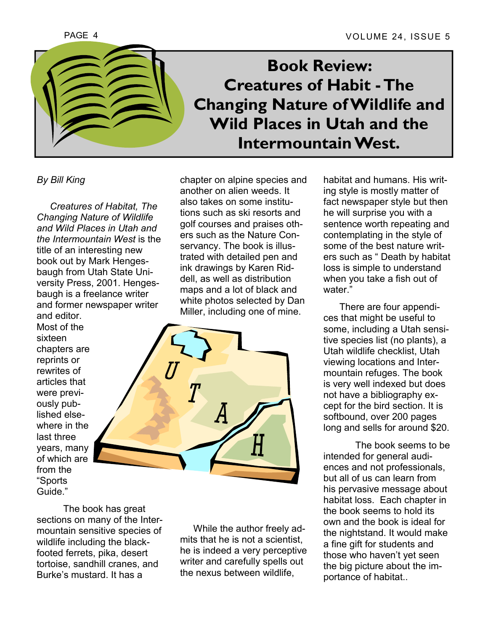

**Book Review: Creatures of Habit - The Changing Nature of Wildlife and Wild Places in Utah and the Intermountain West.** 

*By Bill King* 

 *Creatures of Habitat, The Changing Nature of Wildlife and Wild Places in Utah and the Intermountain West* is the title of an interesting new book out by Mark Hengesbaugh from Utah State University Press, 2001. Hengesbaugh is a freelance writer and former newspaper writer and editor.

Most of the sixteen chapters are reprints or rewrites of articles that were previously published elsewhere in the last three years, many of which are from the ìSports Guide."

chapter on alpine species and another on alien weeds. It also takes on some institutions such as ski resorts and golf courses and praises others such as the Nature Conservancy. The book is illustrated with detailed pen and ink drawings by Karen Riddell, as well as distribution maps and a lot of black and white photos selected by Dan Miller, including one of mine.



The book has great sections on many of the Intermountain sensitive species of wildlife including the blackfooted ferrets, pika, desert tortoise, sandhill cranes, and Burke's mustard. It has a

 While the author freely admits that he is not a scientist, he is indeed a very perceptive writer and carefully spells out the nexus between wildlife,

habitat and humans. His writing style is mostly matter of fact newspaper style but then he will surprise you with a sentence worth repeating and contemplating in the style of some of the best nature writers such as "Death by habitat loss is simple to understand when you take a fish out of water."

 There are four appendices that might be useful to some, including a Utah sensitive species list (no plants), a Utah wildlife checklist, Utah viewing locations and Intermountain refuges. The book is very well indexed but does not have a bibliography except for the bird section. It is softbound, over 200 pages long and sells for around \$20.

 The book seems to be intended for general audiences and not professionals, but all of us can learn from his pervasive message about habitat loss. Each chapter in the book seems to hold its own and the book is ideal for the nightstand. It would make a fine gift for students and those who haven't yet seen the big picture about the importance of habitat..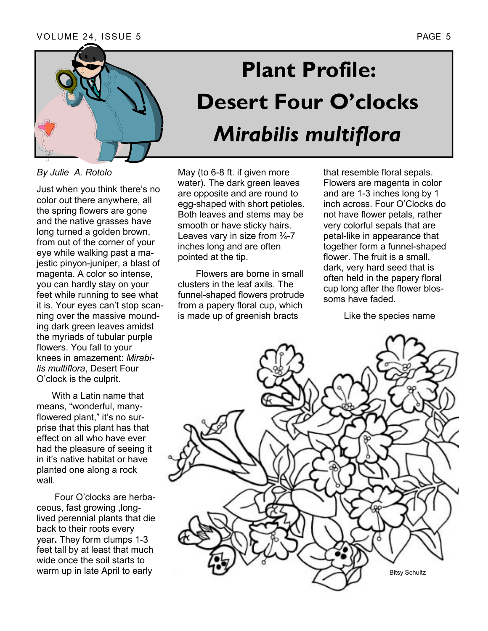

*By Julie A. Rotolo* 

Just when you think there's no color out there anywhere, all the spring flowers are gone and the native grasses have long turned a golden brown, from out of the corner of your eye while walking past a majestic pinyon-juniper, a blast of magenta. A color so intense, you can hardly stay on your feet while running to see what it is. Your eyes can't stop scanning over the massive mounding dark green leaves amidst the myriads of tubular purple flowers. You fall to your knees in amazement: *Mirabilis multiflora*, Desert Four O'clock is the culprit.

 With a Latin name that means, "wonderful, manyflowered plant," it's no surprise that this plant has that effect on all who have ever had the pleasure of seeing it in it's native habitat or have planted one along a rock wall.

Four O'clocks are herbaceous, fast growing ,longlived perennial plants that die back to their roots every year**.** They form clumps 1-3 feet tall by at least that much wide once the soil starts to warm up in late April to early

# **Plant Profile: Desert Four O'clocks** *Mirabilis multiflora*

May (to 6-8 ft. if given more water). The dark green leaves are opposite and are round to egg-shaped with short petioles. Both leaves and stems may be smooth or have sticky hairs. Leaves vary in size from  $\frac{3}{4}$ -7 inches long and are often pointed at the tip.

 Flowers are borne in small clusters in the leaf axils. The funnel-shaped flowers protrude from a papery floral cup, which is made up of greenish bracts

that resemble floral sepals. Flowers are magenta in color and are 1-3 inches long by 1 inch across. Four O'Clocks do not have flower petals, rather very colorful sepals that are petal-like in appearance that together form a funnel-shaped flower. The fruit is a small. dark, very hard seed that is often held in the papery floral cup long after the flower blossoms have faded.

Like the species name

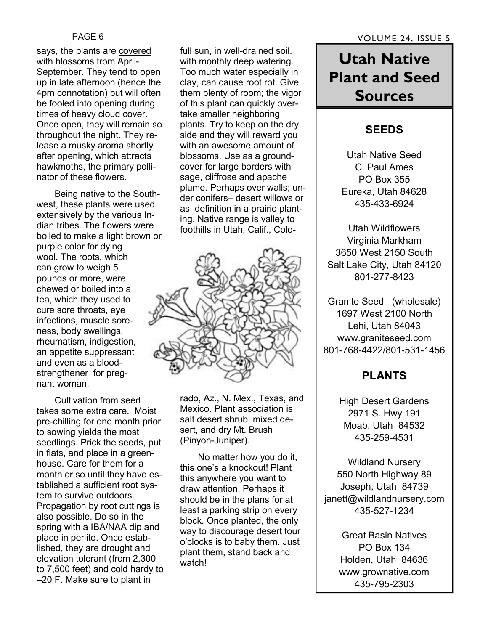says, the plants are covered with blossoms from April-September. They tend to open up in late afternoon (hence the 4pm connotation) but will often be fooled into opening during times of heavy cloud cover. Once open, they will remain so throughout the night. They release a musky aroma shortly after opening, which attracts hawkmoths, the primary pollinator of these flowers.

 Being native to the Southwest, these plants were used extensively by the various Indian tribes. The flowers were boiled to make a light brown or purple color for dying wool. The roots, which can grow to weigh 5 pounds or more, were chewed or boiled into a tea, which they used to cure sore throats, eye infections, muscle soreness, body swellings, rheumatism, indigestion, an appetite suppressant and even as a bloodstrengthener for pregnant woman.

 Cultivation from seed takes some extra care. Moist pre-chilling for one month prior to sowing yields the most seedlings. Prick the seeds, put in flats, and place in a greenhouse. Care for them for a month or so until they have established a sufficient root system to survive outdoors. Propagation by root cuttings is also possible. Do so in the spring with a IBA/NAA dip and place in perlite. Once established, they are drought and elevation tolerant (from 2,300 to 7,500 feet) and cold hardy to  $-20$  F. Make sure to plant in

full sun, in well-drained soil. with monthly deep watering. Too much water especially in clay, can cause root rot. Give them plenty of room; the vigor of this plant can quickly overtake smaller neighboring plants. Try to keep on the dry side and they will reward you with an awesome amount of blossoms. Use as a groundcover for large borders with sage, cliffrose and apache plume. Perhaps over walls; under conifers- desert willows or as definition in a prairie planting. Native range is valley to foothills in Utah, Calif., Colo-



rado, Az., N. Mex., Texas, and Mexico. Plant association is salt desert shrub, mixed desert, and dry Mt. Brush (Pinyon-Juniper).

 No matter how you do it, this one's a knockout! Plant this anywhere you want to draw attention. Perhaps it should be in the plans for at least a parking strip on every block. Once planted, the only way to discourage desert four o'clocks is to baby them. Just plant them, stand back and watch!

### **Utah Native Plant and Seed Sources**

#### **SEEDS**

Utah Native Seed C. Paul Ames PO Box 355 Eureka, Utah 84628 435-433-6924

Utah Wildflowers Virginia Markham 3650 West 2150 South Salt Lake City, Utah 84120 801-277-8423

Granite Seed (wholesale) 1697 West 2100 North Lehi, Utah 84043 www.graniteseed.com 801-768-4422/801-531-1456

### **PLANTS**

High Desert Gardens 2971 S. Hwy 191 Moab. Utah 84532 435-259-4531

Wildland Nursery 550 North Highway 89 Joseph, Utah 84739 janett@wildlandnursery.com 435-527-1234

> Great Basin Natives PO Box 134 Holden, Utah 84636 www.grownative.com 435-795-2303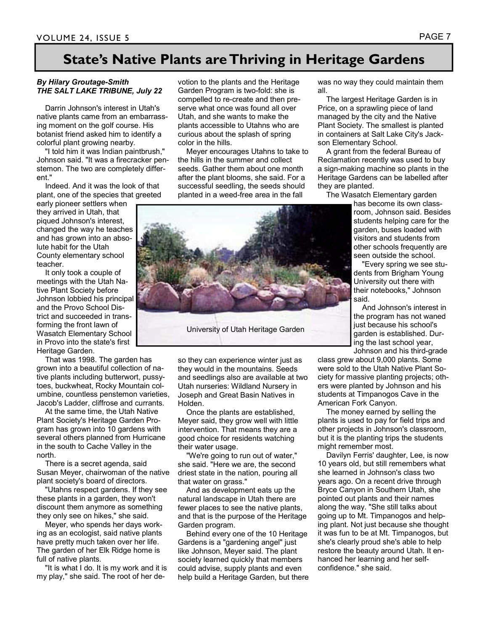### **State's Native Plants are Thriving in Heritage Gardens**

#### *By Hilary Groutage-Smith THE SALT LAKE TRIBUNE, July 22*

 Darrin Johnson's interest in Utah's native plants came from an embarrassing moment on the golf course. His botanist friend asked him to identify a colorful plant growing nearby.

 "I told him it was Indian paintbrush," Johnson said. "It was a firecracker penstemon. The two are completely different."

 Indeed. And it was the look of that plant, one of the species that greeted

early pioneer settlers when they arrived in Utah, that piqued Johnson's interest, changed the way he teaches and has grown into an absolute habit for the Utah County elementary school teacher.

 It only took a couple of meetings with the Utah Native Plant Society before Johnson lobbied his principal and the Provo School District and succeeded in transforming the front lawn of Wasatch Elementary School in Provo into the state's first Heritage Garden.

 That was 1998. The garden has grown into a beautiful collection of native plants including butterwort, pussytoes, buckwheat, Rocky Mountain columbine, countless penstemon varieties, Jacob's Ladder, cliffrose and currants.

 At the same time, the Utah Native Plant Society's Heritage Garden Program has grown into 10 gardens with several others planned from Hurricane in the south to Cache Valley in the north.

 There is a secret agenda, said Susan Meyer, chairwoman of the native plant society's board of directors.

 "Utahns respect gardens. If they see these plants in a garden, they won't discount them anymore as something they only see on hikes," she said.

 Meyer, who spends her days working as an ecologist, said native plants have pretty much taken over her life. The garden of her Elk Ridge home is full of native plants.

 "It is what I do. It is my work and it is my play," she said. The root of her devotion to the plants and the Heritage Garden Program is two-fold: she is compelled to re-create and then preserve what once was found all over Utah, and she wants to make the plants accessible to Utahns who are curious about the splash of spring color in the hills.

 Meyer encourages Utahns to take to the hills in the summer and collect seeds. Gather them about one month after the plant blooms, she said. For a successful seedling, the seeds should planted in a weed-free area in the fall



so they can experience winter just as they would in the mountains. Seeds and seedlings also are available at two Utah nurseries: Wildland Nursery in Joseph and Great Basin Natives in Holden.

 Once the plants are established, Meyer said, they grow well with little intervention. That means they are a good choice for residents watching their water usage.

 "We're going to run out of water," she said. "Here we are, the second driest state in the nation, pouring all that water on grass."

 And as development eats up the natural landscape in Utah there are fewer places to see the native plants, and that is the purpose of the Heritage Garden program.

 Behind every one of the 10 Heritage Gardens is a "gardening angel" just like Johnson, Meyer said. The plant society learned quickly that members could advise, supply plants and even help build a Heritage Garden, but there was no way they could maintain them all.

 The largest Heritage Garden is in Price, on a sprawling piece of land managed by the city and the Native Plant Society. The smallest is planted in containers at Salt Lake City's Jackson Elementary School.

 A grant from the federal Bureau of Reclamation recently was used to buy a sign-making machine so plants in the Heritage Gardens can be labelled after they are planted.

The Wasatch Elementary garden

has become its own classroom, Johnson said. Besides students helping care for the garden, buses loaded with visitors and students from other schools frequently are seen outside the school.

 "Every spring we see students from Brigham Young University out there with their notebooks," Johnson said.

 And Johnson's interest in the program has not waned just because his school's garden is established. During the last school year,

Johnson and his third-grade class grew about 9,000 plants. Some

were sold to the Utah Native Plant Society for massive planting projects; others were planted by Johnson and his students at Timpanogos Cave in the American Fork Canyon.

 The money earned by selling the plants is used to pay for field trips and other projects in Johnson's classroom, but it is the planting trips the students might remember most.

 Davilyn Ferris' daughter, Lee, is now 10 years old, but still remembers what she learned in Johnson's class two years ago. On a recent drive through Bryce Canyon in Southern Utah, she pointed out plants and their names along the way. "She still talks about going up to Mt. Timpanogos and helping plant. Not just because she thought it was fun to be at Mt. Timpanogos, but she's clearly proud she's able to help restore the beauty around Utah. It enhanced her learning and her selfconfidence." she said.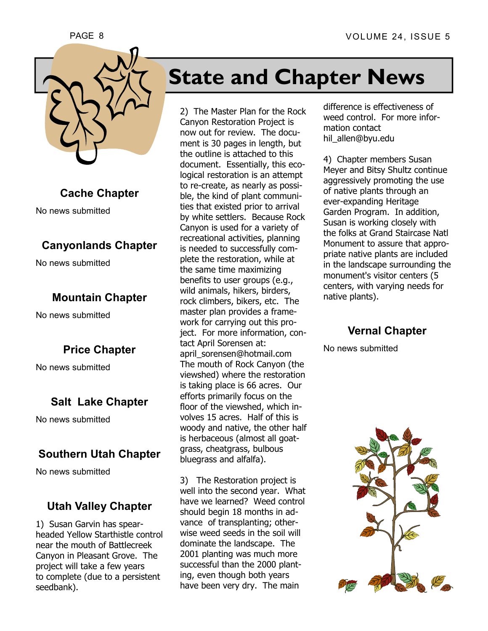



**Cache Chapter** 

No news submitted

#### **Canyonlands Chapter**

No news submitted

#### **Mountain Chapter**

No news submitted

#### **Price Chapter**

No news submitted

#### **Salt Lake Chapter**

No news submitted

#### **Southern Utah Chapter**

No news submitted

#### **Utah Valley Chapter**

1) Susan Garvin has spearheaded Yellow Starthistle control near the mouth of Battlecreek Canyon in Pleasant Grove. The project will take a few years to complete (due to a persistent seedbank).

# **State and Chapter News**

2) The Master Plan for the Rock Canyon Restoration Project is now out for review. The document is 30 pages in length, but the outline is attached to this document. Essentially, this ecological restoration is an attempt to re-create, as nearly as possible, the kind of plant communities that existed prior to arrival by white settlers. Because Rock Canyon is used for a variety of recreational activities, planning is needed to successfully complete the restoration, while at the same time maximizing benefits to user groups (e.g., wild animals, hikers, birders, rock climbers, bikers, etc. The master plan provides a framework for carrying out this project. For more information, contact April Sorensen at: april\_sorensen@hotmail.com The mouth of Rock Canyon (the viewshed) where the restoration is taking place is 66 acres. Our efforts primarily focus on the floor of the viewshed, which involves 15 acres. Half of this is woody and native, the other half is herbaceous (almost all goatgrass, cheatgrass, bulbous bluegrass and alfalfa).

3) The Restoration project is well into the second year. What have we learned? Weed control should begin 18 months in advance of transplanting; otherwise weed seeds in the soil will dominate the landscape. The 2001 planting was much more successful than the 2000 planting, even though both years have been very dry. The main

difference is effectiveness of weed control. For more information contact hil allen@byu.edu

4) Chapter members Susan Meyer and Bitsy Shultz continue aggressively promoting the use of native plants through an ever-expanding Heritage Garden Program. In addition, Susan is working closely with the folks at Grand Staircase Natl Monument to assure that appropriate native plants are included in the landscape surrounding the monument's visitor centers (5 centers, with varying needs for native plants).

#### **Vernal Chapter**

No news submitted

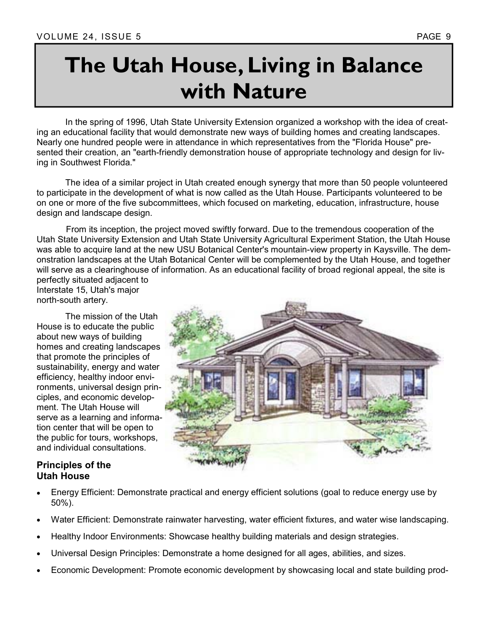# **The Utah House, Living in Balance with Nature**

 In the spring of 1996, Utah State University Extension organized a workshop with the idea of creating an educational facility that would demonstrate new ways of building homes and creating landscapes. Nearly one hundred people were in attendance in which representatives from the "Florida House" presented their creation, an "earth-friendly demonstration house of appropriate technology and design for living in Southwest Florida."

 The idea of a similar project in Utah created enough synergy that more than 50 people volunteered to participate in the development of what is now called as the Utah House. Participants volunteered to be on one or more of the five subcommittees, which focused on marketing, education, infrastructure, house design and landscape design.

 From its inception, the project moved swiftly forward. Due to the tremendous cooperation of the Utah State University Extension and Utah State University Agricultural Experiment Station, the Utah House was able to acquire land at the new USU Botanical Center's mountain-view property in Kaysville. The demonstration landscapes at the Utah Botanical Center will be complemented by the Utah House, and together will serve as a clearinghouse of information. As an educational facility of broad regional appeal, the site is perfectly situated adjacent to

Interstate 15, Utah's major north-south artery.

 The mission of the Utah House is to educate the public about new ways of building homes and creating landscapes that promote the principles of sustainability, energy and water efficiency, healthy indoor environments, universal design principles, and economic development. The Utah House will serve as a learning and information center that will be open to the public for tours, workshops, and individual consultations.

#### **Principles of the Utah House**

- Energy Efficient: Demonstrate practical and energy efficient solutions (goal to reduce energy use by 50%).
- Water Efficient: Demonstrate rainwater harvesting, water efficient fixtures, and water wise landscaping.
- Healthy Indoor Environments: Showcase healthy building materials and design strategies.
- Universal Design Principles: Demonstrate a home designed for all ages, abilities, and sizes.
- Economic Development: Promote economic development by showcasing local and state building prod-

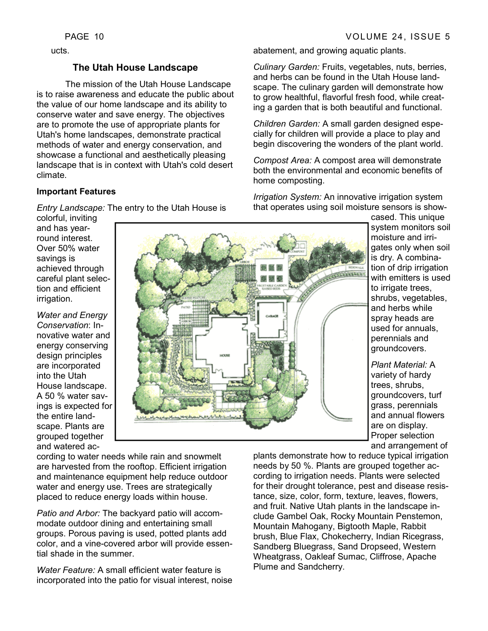ucts.

#### **The Utah House Landscape**

 The mission of the Utah House Landscape is to raise awareness and educate the public about the value of our home landscape and its ability to conserve water and save energy. The objectives are to promote the use of appropriate plants for Utah's home landscapes, demonstrate practical methods of water and energy conservation, and showcase a functional and aesthetically pleasing landscape that is in context with Utah's cold desert climate.

#### **Important Features**

*Entry Landscape:* The entry to the Utah House is

colorful, inviting and has yearround interest. Over 50% water savings is achieved through careful plant selection and efficient irrigation.

*Water and Energy Conservation*: Innovative water and energy conserving design principles are incorporated into the Utah House landscape. A 50 % water savings is expected for the entire landscape. Plants are grouped together and watered ac-

man لماضيبان مراسيات

cording to water needs while rain and snowmelt are harvested from the rooftop. Efficient irrigation and maintenance equipment help reduce outdoor water and energy use. Trees are strategically placed to reduce energy loads within house.

*Patio and Arbor:* The backyard patio will accommodate outdoor dining and entertaining small groups. Porous paving is used, potted plants add color, and a vine-covered arbor will provide essential shade in the summer.

*Water Feature:* A small efficient water feature is incorporated into the patio for visual interest, noise abatement, and growing aquatic plants.

*Culinary Garden:* Fruits, vegetables, nuts, berries, and herbs can be found in the Utah House landscape. The culinary garden will demonstrate how to grow healthful, flavorful fresh food, while creating a garden that is both beautiful and functional.

*Children Garden:* A small garden designed especially for children will provide a place to play and begin discovering the wonders of the plant world.

*Compost Area:* A compost area will demonstrate both the environmental and economic benefits of home composting.

*Irrigation System:* An innovative irrigation system that operates using soil moisture sensors is show-

> cased. This unique system monitors soil moisture and irrigates only when soil is dry. A combination of drip irrigation with emitters is used to irrigate trees, shrubs, vegetables, and herbs while spray heads are used for annuals, perennials and groundcovers.

*Plant Material:* A variety of hardy trees, shrubs, groundcovers, turf grass, perennials and annual flowers are on display. Proper selection and arrangement of

plants demonstrate how to reduce typical irrigation needs by 50 %. Plants are grouped together according to irrigation needs. Plants were selected for their drought tolerance, pest and disease resistance, size, color, form, texture, leaves, flowers, and fruit. Native Utah plants in the landscape include Gambel Oak, Rocky Mountain Penstemon, Mountain Mahogany, Bigtooth Maple, Rabbit brush, Blue Flax, Chokecherry, Indian Ricegrass, Sandberg Bluegrass, Sand Dropseed, Western Wheatgrass, Oakleaf Sumac, Cliffrose, Apache Plume and Sandcherry.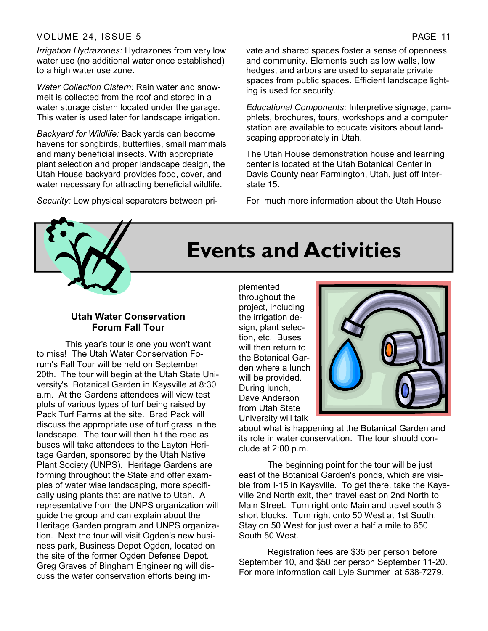#### VOLUME 24, ISSUE 5 PAGE 11

*Irrigation Hydrazones:* Hydrazones from very low water use (no additional water once established) to a high water use zone.

*Water Collection Cistern:* Rain water and snowmelt is collected from the roof and stored in a water storage cistern located under the garage. This water is used later for landscape irrigation.

*Backyard for Wildlife:* Back yards can become havens for songbirds, butterflies, small mammals and many beneficial insects. With appropriate plant selection and proper landscape design, the Utah House backyard provides food, cover, and water necessary for attracting beneficial wildlife.

*Security:* Low physical separators between pri-

vate and shared spaces foster a sense of openness and community. Elements such as low walls, low hedges, and arbors are used to separate private spaces from public spaces. Efficient landscape lighting is used for security.

*Educational Components:* Interpretive signage, pamphlets, brochures, tours, workshops and a computer station are available to educate visitors about landscaping appropriately in Utah.

The Utah House demonstration house and learning center is located at the Utah Botanical Center in Davis County near Farmington, Utah, just off Interstate 15.

For much more information about the Utah House



# **Events and Activities**

#### **Utah Water Conservation Forum Fall Tour**

 This year's tour is one you won't want to miss! The Utah Water Conservation Forum's Fall Tour will be held on September 20th. The tour will begin at the Utah State University's Botanical Garden in Kaysville at 8:30 a.m. At the Gardens attendees will view test plots of various types of turf being raised by Pack Turf Farms at the site. Brad Pack will discuss the appropriate use of turf grass in the landscape. The tour will then hit the road as buses will take attendees to the Layton Heritage Garden, sponsored by the Utah Native Plant Society (UNPS). Heritage Gardens are forming throughout the State and offer examples of water wise landscaping, more specifically using plants that are native to Utah. A representative from the UNPS organization will guide the group and can explain about the Heritage Garden program and UNPS organization. Next the tour will visit Ogden's new business park, Business Depot Ogden, located on the site of the former Ogden Defense Depot. Greg Graves of Bingham Engineering will discuss the water conservation efforts being im-

plemented throughout the project, including the irrigation design, plant selection, etc. Buses will then return to the Botanical Garden where a lunch will be provided. During lunch, Dave Anderson from Utah State University will talk



about what is happening at the Botanical Garden and its role in water conservation. The tour should conclude at 2:00 p.m.

 The beginning point for the tour will be just east of the Botanical Garden's ponds, which are visible from I-15 in Kaysville. To get there, take the Kaysville 2nd North exit, then travel east on 2nd North to Main Street. Turn right onto Main and travel south 3 short blocks. Turn right onto 50 West at 1st South. Stay on 50 West for just over a half a mile to 650 South 50 West.

 Registration fees are \$35 per person before September 10, and \$50 per person September 11-20. For more information call Lyle Summer at 538-7279.